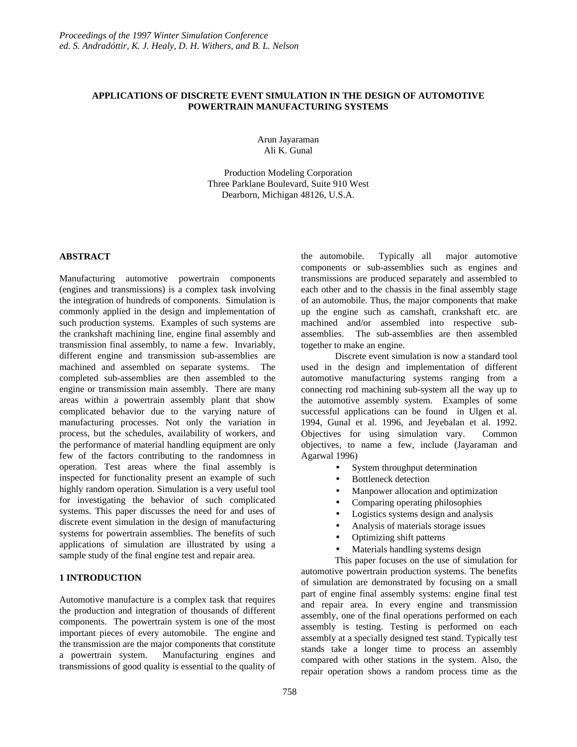## **APPLICATIONS OF DISCRETE EVENT SIMULATION IN THE DESIGN OF AUTOMOTIVE POWERTRAIN MANUFACTURING SYSTEMS**

Arun Jayaraman Ali K. Gunal

Production Modeling Corporation Three Parklane Boulevard, Suite 910 West Dearborn, Michigan 48126, U.S.A.

### **ABSTRACT**

Manufacturing automotive powertrain components (engines and transmissions) is a complex task involving the integration of hundreds of components. Simulation is commonly applied in the design and implementation of such production systems. Examples of such systems are the crankshaft machining line, engine final assembly and transmission final assembly, to name a few. Invariably, different engine and transmission sub-assemblies are machined and assembled on separate systems. The completed sub-assemblies are then assembled to the engine or transmission main assembly. There are many areas within a powertrain assembly plant that show complicated behavior due to the varying nature of manufacturing processes. Not only the variation in process, but the schedules, availability of workers, and the performance of material handling equipment are only few of the factors contributing to the randomness in operation. Test areas where the final assembly is inspected for functionality present an example of such highly random operation. Simulation is a very useful tool for investigating the behavior of such complicated systems. This paper discusses the need for and uses of discrete event simulation in the design of manufacturing systems for powertrain assemblies. The benefits of such applications of simulation are illustrated by using a sample study of the final engine test and repair area.

# **1 INTRODUCTION**

Automotive manufacture is a complex task that requires the production and integration of thousands of different components. The powertrain system is one of the most important pieces of every automobile. The engine and the transmission are the major components that constitute a powertrain system. Manufacturing engines and transmissions of good quality is essential to the quality of the automobile. Typically all major automotive components or sub-assemblies such as engines and transmissions are produced separately and assembled to each other and to the chassis in the final assembly stage of an automobile. Thus, the major components that make up the engine such as camshaft, crankshaft etc. are machined and/or assembled into respective subassemblies. The sub-assemblies are then assembled together to make an engine.

Discrete event simulation is now a standard tool used in the design and implementation of different automotive manufacturing systems ranging from a connecting rod machining sub-system all the way up to the automotive assembly system. Examples of some successful applications can be found in Ulgen et al. 1994, Gunal et al. 1996, and Jeyebalan et al. 1992. Objectives for using simulation vary. Common objectives, to name a few, include (Jayaraman and Agarwal 1996)

- System throughput determination
- **Bottleneck** detection
- Manpower allocation and optimization
- Comparing operating philosophies
- Logistics systems design and analysis
- Analysis of materials storage issues
- Optimizing shift patterns
- Materials handling systems design

This paper focuses on the use of simulation for automotive powertrain production systems. The benefits of simulation are demonstrated by focusing on a small part of engine final assembly systems: engine final test and repair area. In every engine and transmission assembly, one of the final operations performed on each assembly is testing. Testing is performed on each assembly at a specially designed test stand. Typically test stands take a longer time to process an assembly compared with other stations in the system. Also, the repair operation shows a random process time as the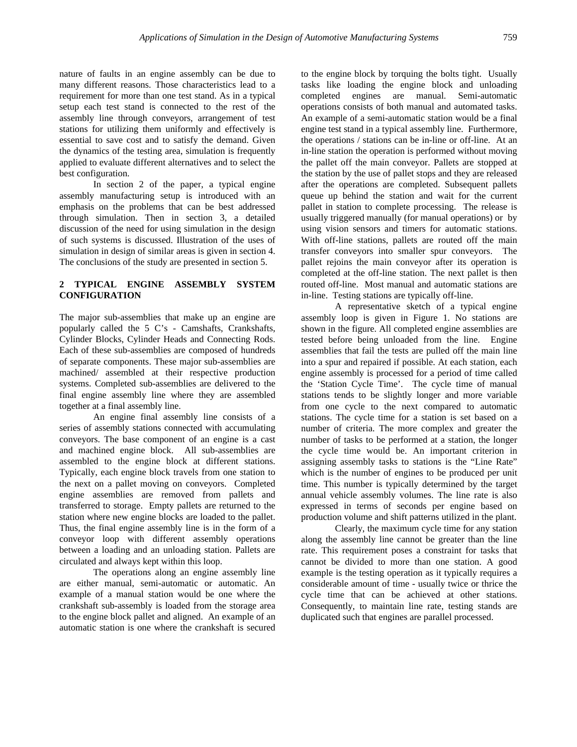nature of faults in an engine assembly can be due to many different reasons. Those characteristics lead to a requirement for more than one test stand. As in a typical setup each test stand is connected to the rest of the assembly line through conveyors, arrangement of test stations for utilizing them uniformly and effectively is essential to save cost and to satisfy the demand. Given the dynamics of the testing area, simulation is frequently applied to evaluate different alternatives and to select the best configuration.

In section 2 of the paper, a typical engine assembly manufacturing setup is introduced with an emphasis on the problems that can be best addressed through simulation. Then in section 3, a detailed discussion of the need for using simulation in the design of such systems is discussed. Illustration of the uses of simulation in design of similar areas is given in section 4. The conclusions of the study are presented in section 5.

### **2 TYPICAL ENGINE ASSEMBLY SYSTEM CONFIGURATION**

The major sub-assemblies that make up an engine are popularly called the 5 C's - Camshafts, Crankshafts, Cylinder Blocks, Cylinder Heads and Connecting Rods. Each of these sub-assemblies are composed of hundreds of separate components. These major sub-assemblies are machined/ assembled at their respective production systems. Completed sub-assemblies are delivered to the final engine assembly line where they are assembled together at a final assembly line.

An engine final assembly line consists of a series of assembly stations connected with accumulating conveyors. The base component of an engine is a cast and machined engine block. All sub-assemblies are assembled to the engine block at different stations. Typically, each engine block travels from one station to the next on a pallet moving on conveyors. Completed engine assemblies are removed from pallets and transferred to storage. Empty pallets are returned to the station where new engine blocks are loaded to the pallet. Thus, the final engine assembly line is in the form of a conveyor loop with different assembly operations between a loading and an unloading station. Pallets are circulated and always kept within this loop.

The operations along an engine assembly line are either manual, semi-automatic or automatic. An example of a manual station would be one where the crankshaft sub-assembly is loaded from the storage area to the engine block pallet and aligned. An example of an automatic station is one where the crankshaft is secured

to the engine block by torquing the bolts tight. Usually tasks like loading the engine block and unloading completed engines are manual. Semi-automatic operations consists of both manual and automated tasks. An example of a semi-automatic station would be a final engine test stand in a typical assembly line. Furthermore, the operations / stations can be in-line or off-line. At an in-line station the operation is performed without moving the pallet off the main conveyor. Pallets are stopped at the station by the use of pallet stops and they are released after the operations are completed. Subsequent pallets queue up behind the station and wait for the current pallet in station to complete processing. The release is usually triggered manually (for manual operations) or by using vision sensors and timers for automatic stations. With off-line stations, pallets are routed off the main transfer conveyors into smaller spur conveyors. The pallet rejoins the main conveyor after its operation is completed at the off-line station. The next pallet is then routed off-line. Most manual and automatic stations are in-line. Testing stations are typically off-line.

A representative sketch of a typical engine assembly loop is given in Figure 1. No stations are shown in the figure. All completed engine assemblies are tested before being unloaded from the line. Engine assemblies that fail the tests are pulled off the main line into a spur and repaired if possible. At each station, each engine assembly is processed for a period of time called the 'Station Cycle Time'. The cycle time of manual stations tends to be slightly longer and more variable from one cycle to the next compared to automatic stations. The cycle time for a station is set based on a number of criteria. The more complex and greater the number of tasks to be performed at a station, the longer the cycle time would be. An important criterion in assigning assembly tasks to stations is the "Line Rate" which is the number of engines to be produced per unit time. This number is typically determined by the target annual vehicle assembly volumes. The line rate is also expressed in terms of seconds per engine based on production volume and shift patterns utilized in the plant.

Clearly, the maximum cycle time for any station along the assembly line cannot be greater than the line rate. This requirement poses a constraint for tasks that cannot be divided to more than one station. A good example is the testing operation as it typically requires a considerable amount of time - usually twice or thrice the cycle time that can be achieved at other stations. Consequently, to maintain line rate, testing stands are duplicated such that engines are parallel processed.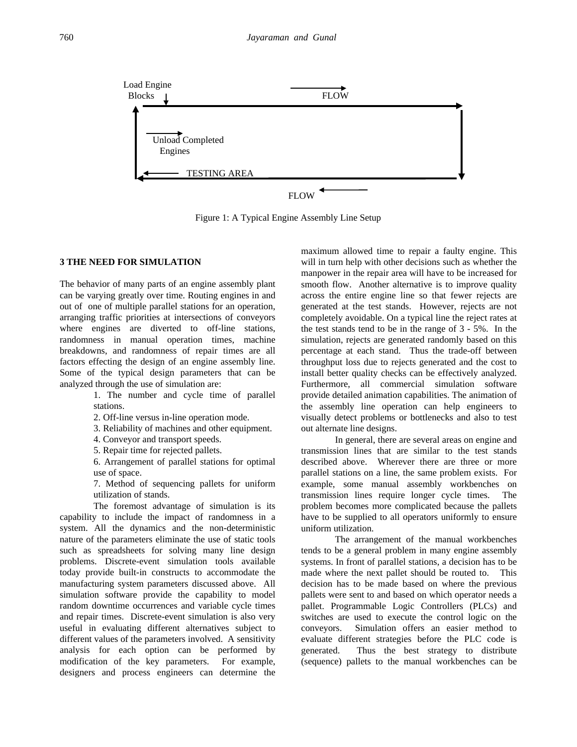

Figure 1: A Typical Engine Assembly Line Setup

### **3 THE NEED FOR SIMULATION**

The behavior of many parts of an engine assembly plant can be varying greatly over time. Routing engines in and out of one of multiple parallel stations for an operation, arranging traffic priorities at intersections of conveyors where engines are diverted to off-line stations, randomness in manual operation times, machine breakdowns, and randomness of repair times are all factors effecting the design of an engine assembly line. Some of the typical design parameters that can be analyzed through the use of simulation are:

> 1. The number and cycle time of parallel stations.

2. Off-line versus in-line operation mode.

3. Reliability of machines and other equipment.

4. Conveyor and transport speeds.

5. Repair time for rejected pallets.

6. Arrangement of parallel stations for optimal use of space.

7. Method of sequencing pallets for uniform utilization of stands.

The foremost advantage of simulation is its capability to include the impact of randomness in a system. All the dynamics and the non-deterministic nature of the parameters eliminate the use of static tools such as spreadsheets for solving many line design problems. Discrete-event simulation tools available today provide built-in constructs to accommodate the manufacturing system parameters discussed above. All simulation software provide the capability to model random downtime occurrences and variable cycle times and repair times. Discrete-event simulation is also very useful in evaluating different alternatives subject to different values of the parameters involved. A sensitivity analysis for each option can be performed by modification of the key parameters. For example, designers and process engineers can determine the

maximum allowed time to repair a faulty engine. This will in turn help with other decisions such as whether the manpower in the repair area will have to be increased for smooth flow. Another alternative is to improve quality across the entire engine line so that fewer rejects are generated at the test stands. However, rejects are not completely avoidable. On a typical line the reject rates at the test stands tend to be in the range of 3 - 5%. In the simulation, rejects are generated randomly based on this percentage at each stand. Thus the trade-off between throughput loss due to rejects generated and the cost to install better quality checks can be effectively analyzed. Furthermore, all commercial simulation software provide detailed animation capabilities. The animation of the assembly line operation can help engineers to visually detect problems or bottlenecks and also to test out alternate line designs.

In general, there are several areas on engine and transmission lines that are similar to the test stands described above. Wherever there are three or more parallel stations on a line, the same problem exists. For example, some manual assembly workbenches on transmission lines require longer cycle times. The problem becomes more complicated because the pallets have to be supplied to all operators uniformly to ensure uniform utilization.

The arrangement of the manual workbenches tends to be a general problem in many engine assembly systems. In front of parallel stations, a decision has to be made where the next pallet should be routed to. This decision has to be made based on where the previous pallets were sent to and based on which operator needs a pallet. Programmable Logic Controllers (PLCs) and switches are used to execute the control logic on the conveyors. Simulation offers an easier method to evaluate different strategies before the PLC code is generated. Thus the best strategy to distribute (sequence) pallets to the manual workbenches can be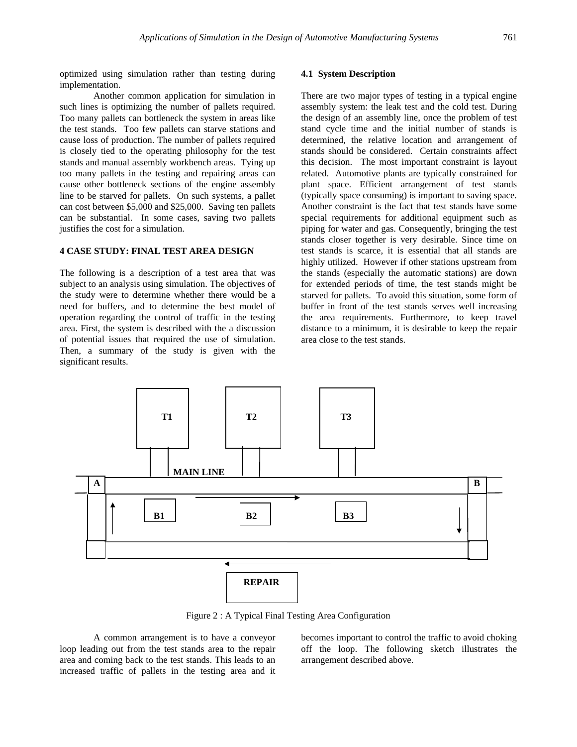optimized using simulation rather than testing during implementation.

Another common application for simulation in such lines is optimizing the number of pallets required. Too many pallets can bottleneck the system in areas like the test stands. Too few pallets can starve stations and cause loss of production. The number of pallets required is closely tied to the operating philosophy for the test stands and manual assembly workbench areas. Tying up too many pallets in the testing and repairing areas can cause other bottleneck sections of the engine assembly line to be starved for pallets. On such systems, a pallet can cost between \$5,000 and \$25,000. Saving ten pallets can be substantial. In some cases, saving two pallets justifies the cost for a simulation.

#### **4 CASE STUDY: FINAL TEST AREA DESIGN**

The following is a description of a test area that was subject to an analysis using simulation. The objectives of the study were to determine whether there would be a need for buffers, and to determine the best model of operation regarding the control of traffic in the testing area. First, the system is described with the a discussion of potential issues that required the use of simulation. Then, a summary of the study is given with the significant results.

#### **4.1 System Description**

There are two major types of testing in a typical engine assembly system: the leak test and the cold test. During the design of an assembly line, once the problem of test stand cycle time and the initial number of stands is determined, the relative location and arrangement of stands should be considered. Certain constraints affect this decision. The most important constraint is layout related. Automotive plants are typically constrained for plant space. Efficient arrangement of test stands (typically space consuming) is important to saving space. Another constraint is the fact that test stands have some special requirements for additional equipment such as piping for water and gas. Consequently, bringing the test stands closer together is very desirable. Since time on test stands is scarce, it is essential that all stands are highly utilized. However if other stations upstream from the stands (especially the automatic stations) are down for extended periods of time, the test stands might be starved for pallets. To avoid this situation, some form of buffer in front of the test stands serves well increasing the area requirements. Furthermore, to keep travel distance to a minimum, it is desirable to keep the repair area close to the test stands.



Figure 2 : A Typical Final Testing Area Configuration

A common arrangement is to have a conveyor loop leading out from the test stands area to the repair area and coming back to the test stands. This leads to an increased traffic of pallets in the testing area and it becomes important to control the traffic to avoid choking off the loop. The following sketch illustrates the arrangement described above.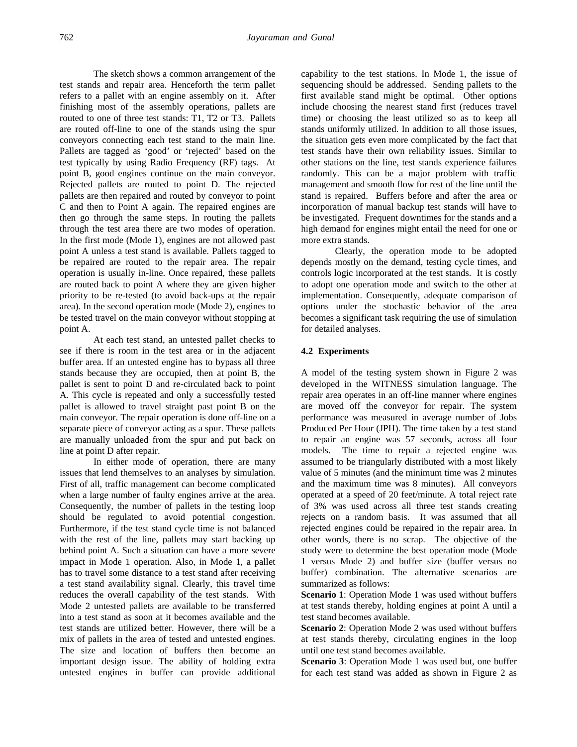The sketch shows a common arrangement of the test stands and repair area. Henceforth the term pallet refers to a pallet with an engine assembly on it. After finishing most of the assembly operations, pallets are routed to one of three test stands: T1, T2 or T3. Pallets are routed off-line to one of the stands using the spur conveyors connecting each test stand to the main line. Pallets are tagged as 'good' or 'rejected' based on the test typically by using Radio Frequency (RF) tags. At point B, good engines continue on the main conveyor. Rejected pallets are routed to point D. The rejected pallets are then repaired and routed by conveyor to point C and then to Point A again. The repaired engines are then go through the same steps. In routing the pallets through the test area there are two modes of operation. In the first mode (Mode 1), engines are not allowed past point A unless a test stand is available. Pallets tagged to be repaired are routed to the repair area. The repair operation is usually in-line. Once repaired, these pallets are routed back to point A where they are given higher priority to be re-tested (to avoid back-ups at the repair area). In the second operation mode (Mode 2), engines to be tested travel on the main conveyor without stopping at point A.

At each test stand, an untested pallet checks to see if there is room in the test area or in the adjacent buffer area. If an untested engine has to bypass all three stands because they are occupied, then at point B, the pallet is sent to point D and re-circulated back to point A. This cycle is repeated and only a successfully tested pallet is allowed to travel straight past point B on the main conveyor. The repair operation is done off-line on a separate piece of conveyor acting as a spur. These pallets are manually unloaded from the spur and put back on line at point D after repair.

In either mode of operation, there are many issues that lend themselves to an analyses by simulation. First of all, traffic management can become complicated when a large number of faulty engines arrive at the area. Consequently, the number of pallets in the testing loop should be regulated to avoid potential congestion. Furthermore, if the test stand cycle time is not balanced with the rest of the line, pallets may start backing up behind point A. Such a situation can have a more severe impact in Mode 1 operation. Also, in Mode 1, a pallet has to travel some distance to a test stand after receiving a test stand availability signal. Clearly, this travel time reduces the overall capability of the test stands. With Mode 2 untested pallets are available to be transferred into a test stand as soon at it becomes available and the test stands are utilized better. However, there will be a mix of pallets in the area of tested and untested engines. The size and location of buffers then become an important design issue. The ability of holding extra untested engines in buffer can provide additional

capability to the test stations. In Mode 1, the issue of sequencing should be addressed. Sending pallets to the first available stand might be optimal. Other options include choosing the nearest stand first (reduces travel time) or choosing the least utilized so as to keep all stands uniformly utilized. In addition to all those issues, the situation gets even more complicated by the fact that test stands have their own reliability issues. Similar to other stations on the line, test stands experience failures randomly. This can be a major problem with traffic management and smooth flow for rest of the line until the stand is repaired. Buffers before and after the area or incorporation of manual backup test stands will have to be investigated. Frequent downtimes for the stands and a high demand for engines might entail the need for one or more extra stands.

Clearly, the operation mode to be adopted depends mostly on the demand, testing cycle times, and controls logic incorporated at the test stands. It is costly to adopt one operation mode and switch to the other at implementation. Consequently, adequate comparison of options under the stochastic behavior of the area becomes a significant task requiring the use of simulation for detailed analyses.

#### **4.2 Experiments**

A model of the testing system shown in Figure 2 was developed in the WITNESS simulation language. The repair area operates in an off-line manner where engines are moved off the conveyor for repair. The system performance was measured in average number of Jobs Produced Per Hour (JPH). The time taken by a test stand to repair an engine was 57 seconds, across all four models. The time to repair a rejected engine was assumed to be triangularly distributed with a most likely value of 5 minutes (and the minimum time was 2 minutes and the maximum time was 8 minutes). All conveyors operated at a speed of 20 feet/minute. A total reject rate of 3% was used across all three test stands creating rejects on a random basis. It was assumed that all rejected engines could be repaired in the repair area. In other words, there is no scrap. The objective of the study were to determine the best operation mode (Mode 1 versus Mode 2) and buffer size (buffer versus no buffer) combination. The alternative scenarios are summarized as follows:

**Scenario 1**: Operation Mode 1 was used without buffers at test stands thereby, holding engines at point A until a test stand becomes available.

**Scenario 2**: Operation Mode 2 was used without buffers at test stands thereby, circulating engines in the loop until one test stand becomes available.

**Scenario 3**: Operation Mode 1 was used but, one buffer for each test stand was added as shown in Figure 2 as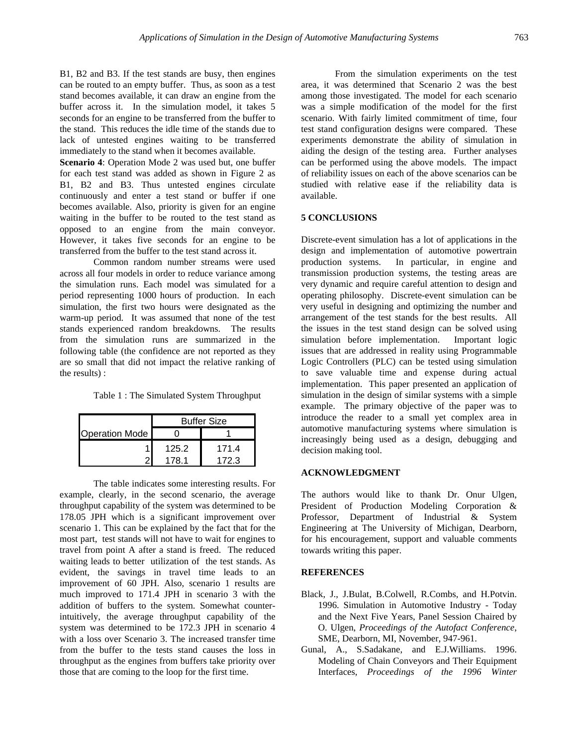B1, B2 and B3. If the test stands are busy, then engines can be routed to an empty buffer. Thus, as soon as a test stand becomes available, it can draw an engine from the buffer across it. In the simulation model, it takes 5 seconds for an engine to be transferred from the buffer to the stand. This reduces the idle time of the stands due to lack of untested engines waiting to be transferred immediately to the stand when it becomes available.

**Scenario 4**: Operation Mode 2 was used but, one buffer for each test stand was added as shown in Figure 2 as B1, B2 and B3. Thus untested engines circulate continuously and enter a test stand or buffer if one becomes available. Also, priority is given for an engine waiting in the buffer to be routed to the test stand as opposed to an engine from the main conveyor. However, it takes five seconds for an engine to be transferred from the buffer to the test stand across it.

Common random number streams were used across all four models in order to reduce variance among the simulation runs. Each model was simulated for a period representing 1000 hours of production. In each simulation, the first two hours were designated as the warm-up period. It was assumed that none of the test stands experienced random breakdowns. The results from the simulation runs are summarized in the following table (the confidence are not reported as they are so small that did not impact the relative ranking of the results) :

|                       | <b>Buffer Size</b> |       |
|-----------------------|--------------------|-------|
| <b>Operation Mode</b> |                    |       |
|                       | 125.2              | 171.4 |
|                       | 1781               | 172.3 |

The table indicates some interesting results. For example, clearly, in the second scenario, the average throughput capability of the system was determined to be 178.05 JPH which is a significant improvement over scenario 1. This can be explained by the fact that for the most part, test stands will not have to wait for engines to travel from point A after a stand is freed. The reduced waiting leads to better utilization of the test stands. As evident, the savings in travel time leads to an improvement of 60 JPH. Also, scenario 1 results are much improved to 171.4 JPH in scenario 3 with the addition of buffers to the system. Somewhat counterintuitively, the average throughput capability of the system was determined to be 172.3 JPH in scenario 4 with a loss over Scenario 3. The increased transfer time from the buffer to the tests stand causes the loss in throughput as the engines from buffers take priority over those that are coming to the loop for the first time.

From the simulation experiments on the test area, it was determined that Scenario 2 was the best among those investigated. The model for each scenario was a simple modification of the model for the first scenario. With fairly limited commitment of time, four test stand configuration designs were compared. These experiments demonstrate the ability of simulation in aiding the design of the testing area. Further analyses can be performed using the above models. The impact of reliability issues on each of the above scenarios can be studied with relative ease if the reliability data is available.

### **5 CONCLUSIONS**

Discrete-event simulation has a lot of applications in the design and implementation of automotive powertrain production systems. In particular, in engine and transmission production systems, the testing areas are very dynamic and require careful attention to design and operating philosophy. Discrete-event simulation can be very useful in designing and optimizing the number and arrangement of the test stands for the best results. All the issues in the test stand design can be solved using simulation before implementation. Important logic issues that are addressed in reality using Programmable Logic Controllers (PLC) can be tested using simulation to save valuable time and expense during actual implementation. This paper presented an application of simulation in the design of similar systems with a simple example. The primary objective of the paper was to introduce the reader to a small yet complex area in automotive manufacturing systems where simulation is increasingly being used as a design, debugging and decision making tool.

#### **ACKNOWLEDGMENT**

The authors would like to thank Dr. Onur Ulgen, President of Production Modeling Corporation & Professor, Department of Industrial & System Engineering at The University of Michigan, Dearborn, for his encouragement, support and valuable comments towards writing this paper.

#### **REFERENCES**

- Black, J., J.Bulat, B.Colwell, R.Combs, and H.Potvin. 1996. Simulation in Automotive Industry - Today and the Next Five Years, Panel Session Chaired by O. Ulgen, *Proceedings of the Autofact Conference*, SME, Dearborn, MI, November, 947-961.
- Gunal, A., S.Sadakane, and E.J.Williams. 1996. Modeling of Chain Conveyors and Their Equipment Interfaces, *Proceedings of the 1996 Winter*